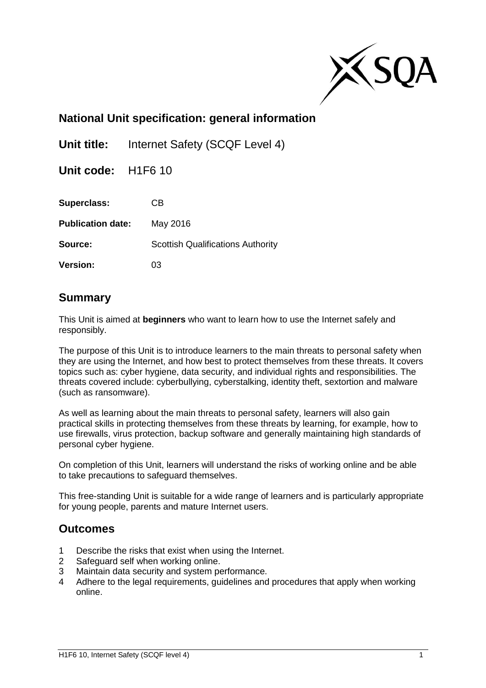

## **National Unit specification: general information**

**Unit title:** Internet Safety (SCQF Level 4)

**Unit code:** H1F6 10

**Superclass:** CB

**Publication date:** May 2016

**Source:** Scottish Qualifications Authority

**Version:** 03

### **Summary**

This Unit is aimed at **beginners** who want to learn how to use the Internet safely and responsibly.

The purpose of this Unit is to introduce learners to the main threats to personal safety when they are using the Internet, and how best to protect themselves from these threats. It covers topics such as: cyber hygiene, data security, and individual rights and responsibilities. The threats covered include: cyberbullying, cyberstalking, identity theft, sextortion and malware (such as ransomware).

As well as learning about the main threats to personal safety, learners will also gain practical skills in protecting themselves from these threats by learning, for example, how to use firewalls, virus protection, backup software and generally maintaining high standards of personal cyber hygiene.

On completion of this Unit, learners will understand the risks of working online and be able to take precautions to safeguard themselves.

This free-standing Unit is suitable for a wide range of learners and is particularly appropriate for young people, parents and mature Internet users.

### **Outcomes**

- 1 Describe the risks that exist when using the Internet.
- 2 Safeguard self when working online.
- 3 Maintain data security and system performance.
- 4 Adhere to the legal requirements, guidelines and procedures that apply when working online.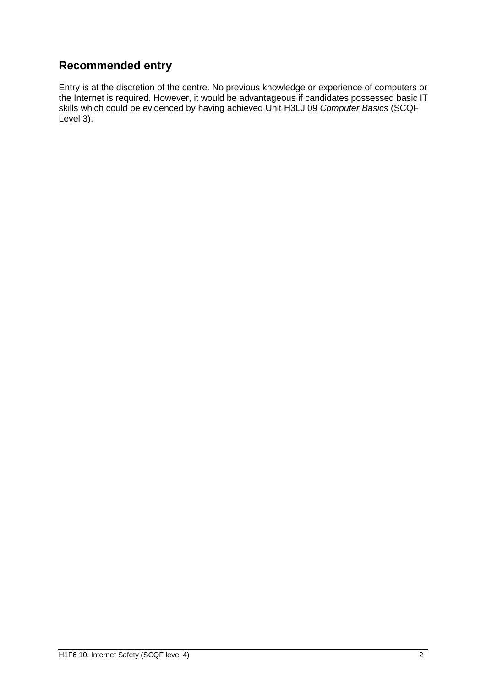# **Recommended entry**

Entry is at the discretion of the centre. No previous knowledge or experience of computers or the Internet is required. However, it would be advantageous if candidates possessed basic IT skills which could be evidenced by having achieved Unit H3LJ 09 *Computer Basics* (SCQF Level 3).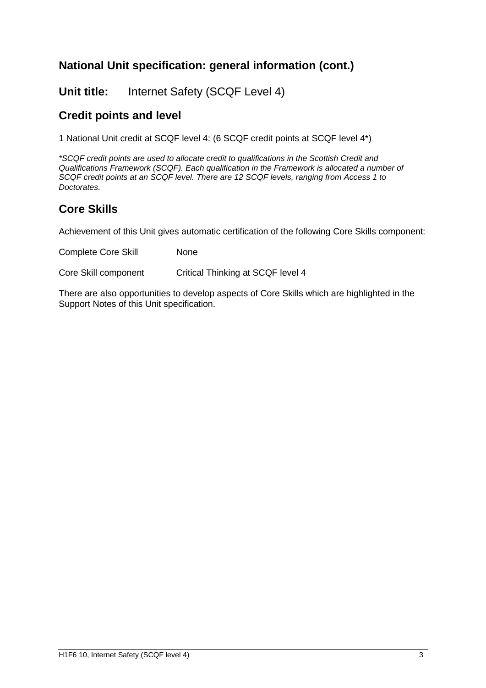# **National Unit specification: general information (cont.)**

**Unit title:** Internet Safety (SCQF Level 4)

## **Credit points and level**

1 National Unit credit at SCQF level 4: (6 SCQF credit points at SCQF level 4\*)

*\*SCQF credit points are used to allocate credit to qualifications in the Scottish Credit and Qualifications Framework (SCQF). Each qualification in the Framework is allocated a number of SCQF credit points at an SCQF level. There are 12 SCQF levels, ranging from Access 1 to Doctorates.*

# **Core Skills**

Achievement of this Unit gives automatic certification of the following Core Skills component:

Complete Core Skill None

Core Skill component Critical Thinking at SCQF level 4

There are also opportunities to develop aspects of Core Skills which are highlighted in the Support Notes of this Unit specification.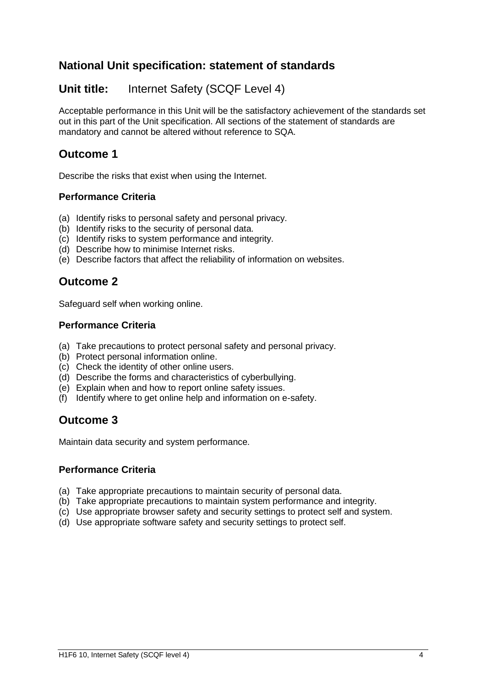## **National Unit specification: statement of standards**

## **Unit title:** Internet Safety (SCQF Level 4)

Acceptable performance in this Unit will be the satisfactory achievement of the standards set out in this part of the Unit specification. All sections of the statement of standards are mandatory and cannot be altered without reference to SQA.

## **Outcome 1**

Describe the risks that exist when using the Internet.

### **Performance Criteria**

- (a) Identify risks to personal safety and personal privacy.
- (b) Identify risks to the security of personal data.
- (c) Identify risks to system performance and integrity.
- (d) Describe how to minimise Internet risks.
- (e) Describe factors that affect the reliability of information on websites.

## **Outcome 2**

Safeguard self when working online.

### **Performance Criteria**

- (a) Take precautions to protect personal safety and personal privacy.
- (b) Protect personal information online.
- (c) Check the identity of other online users.
- (d) Describe the forms and characteristics of cyberbullying.
- (e) Explain when and how to report online safety issues.
- (f) Identify where to get online help and information on e-safety.

## **Outcome 3**

Maintain data security and system performance.

#### **Performance Criteria**

- (a) Take appropriate precautions to maintain security of personal data.
- (b) Take appropriate precautions to maintain system performance and integrity.
- (c) Use appropriate browser safety and security settings to protect self and system.
- (d) Use appropriate software safety and security settings to protect self.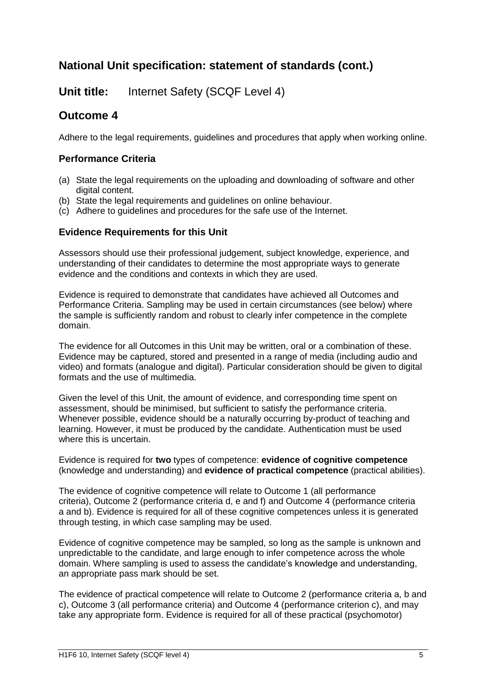## **National Unit specification: statement of standards (cont.)**

**Unit title:** Internet Safety (SCQF Level 4)

## **Outcome 4**

Adhere to the legal requirements, guidelines and procedures that apply when working online.

### **Performance Criteria**

- (a) State the legal requirements on the uploading and downloading of software and other digital content.
- (b) State the legal requirements and guidelines on online behaviour.
- (c) Adhere to guidelines and procedures for the safe use of the Internet.

### **Evidence Requirements for this Unit**

Assessors should use their professional judgement, subject knowledge, experience, and understanding of their candidates to determine the most appropriate ways to generate evidence and the conditions and contexts in which they are used.

Evidence is required to demonstrate that candidates have achieved all Outcomes and Performance Criteria. Sampling may be used in certain circumstances (see below) where the sample is sufficiently random and robust to clearly infer competence in the complete domain.

The evidence for all Outcomes in this Unit may be written, oral or a combination of these. Evidence may be captured, stored and presented in a range of media (including audio and video) and formats (analogue and digital). Particular consideration should be given to digital formats and the use of multimedia.

Given the level of this Unit, the amount of evidence, and corresponding time spent on assessment, should be minimised, but sufficient to satisfy the performance criteria. Whenever possible, evidence should be a naturally occurring by-product of teaching and learning. However, it must be produced by the candidate. Authentication must be used where this is uncertain.

Evidence is required for **two** types of competence: **evidence of cognitive competence** (knowledge and understanding) and **evidence of practical competence** (practical abilities).

The evidence of cognitive competence will relate to Outcome 1 (all performance criteria), Outcome 2 (performance criteria d, e and f) and Outcome 4 (performance criteria a and b). Evidence is required for all of these cognitive competences unless it is generated through testing, in which case sampling may be used.

Evidence of cognitive competence may be sampled, so long as the sample is unknown and unpredictable to the candidate, and large enough to infer competence across the whole domain. Where sampling is used to assess the candidate's knowledge and understanding, an appropriate pass mark should be set.

The evidence of practical competence will relate to Outcome 2 (performance criteria a, b and c), Outcome 3 (all performance criteria) and Outcome 4 (performance criterion c), and may take any appropriate form. Evidence is required for all of these practical (psychomotor)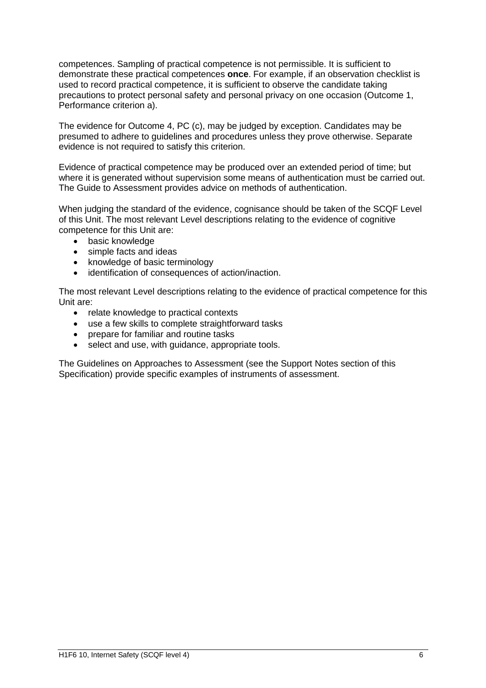competences. Sampling of practical competence is not permissible. It is sufficient to demonstrate these practical competences **once**. For example, if an observation checklist is used to record practical competence, it is sufficient to observe the candidate taking precautions to protect personal safety and personal privacy on one occasion (Outcome 1, Performance criterion a).

The evidence for Outcome 4, PC (c), may be judged by exception. Candidates may be presumed to adhere to guidelines and procedures unless they prove otherwise. Separate evidence is not required to satisfy this criterion.

Evidence of practical competence may be produced over an extended period of time; but where it is generated without supervision some means of authentication must be carried out. The Guide to Assessment provides advice on methods of authentication.

When judging the standard of the evidence, cognisance should be taken of the SCQF Level of this Unit. The most relevant Level descriptions relating to the evidence of cognitive competence for this Unit are:

- basic knowledge
- simple facts and ideas
- knowledge of basic terminology
- identification of consequences of action/inaction.

The most relevant Level descriptions relating to the evidence of practical competence for this Unit are:

- relate knowledge to practical contexts
- use a few skills to complete straightforward tasks
- prepare for familiar and routine tasks
- select and use, with guidance, appropriate tools.

The Guidelines on Approaches to Assessment (see the Support Notes section of this Specification) provide specific examples of instruments of assessment.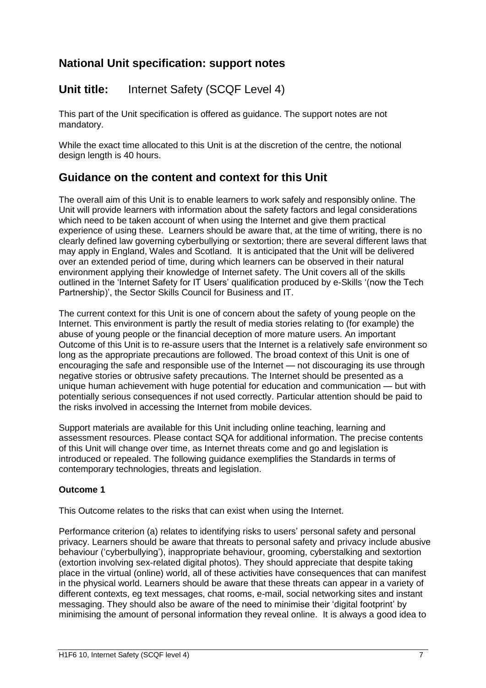## **Unit title:** Internet Safety (SCQF Level 4)

This part of the Unit specification is offered as guidance. The support notes are not mandatory.

While the exact time allocated to this Unit is at the discretion of the centre, the notional design length is 40 hours.

## **Guidance on the content and context for this Unit**

The overall aim of this Unit is to enable learners to work safely and responsibly online. The Unit will provide learners with information about the safety factors and legal considerations which need to be taken account of when using the Internet and give them practical experience of using these. Learners should be aware that, at the time of writing, there is no clearly defined law governing cyberbullying or sextortion; there are several different laws that may apply in England, Wales and Scotland. It is anticipated that the Unit will be delivered over an extended period of time, during which learners can be observed in their natural environment applying their knowledge of Internet safety. The Unit covers all of the skills outlined in the 'Internet Safety for IT Users' qualification produced by e-Skills '(now the Tech Partnership)', the Sector Skills Council for Business and IT.

The current context for this Unit is one of concern about the safety of young people on the Internet. This environment is partly the result of media stories relating to (for example) the abuse of young people or the financial deception of more mature users. An important Outcome of this Unit is to re-assure users that the Internet is a relatively safe environment so long as the appropriate precautions are followed. The broad context of this Unit is one of encouraging the safe and responsible use of the Internet — not discouraging its use through negative stories or obtrusive safety precautions. The Internet should be presented as a unique human achievement with huge potential for education and communication — but with potentially serious consequences if not used correctly. Particular attention should be paid to the risks involved in accessing the Internet from mobile devices.

Support materials are available for this Unit including online teaching, learning and assessment resources. Please contact SQA for additional information. The precise contents of this Unit will change over time, as Internet threats come and go and legislation is introduced or repealed. The following guidance exemplifies the Standards in terms of contemporary technologies, threats and legislation.

#### **Outcome 1**

This Outcome relates to the risks that can exist when using the Internet.

Performance criterion (a) relates to identifying risks to users' personal safety and personal privacy. Learners should be aware that threats to personal safety and privacy include abusive behaviour ('cyberbullying'), inappropriate behaviour, grooming, cyberstalking and sextortion (extortion involving sex-related digital photos). They should appreciate that despite taking place in the virtual (online) world, all of these activities have consequences that can manifest in the physical world. Learners should be aware that these threats can appear in a variety of different contexts, eg text messages, chat rooms, e-mail, social networking sites and instant messaging. They should also be aware of the need to minimise their 'digital footprint' by minimising the amount of personal information they reveal online. It is always a good idea to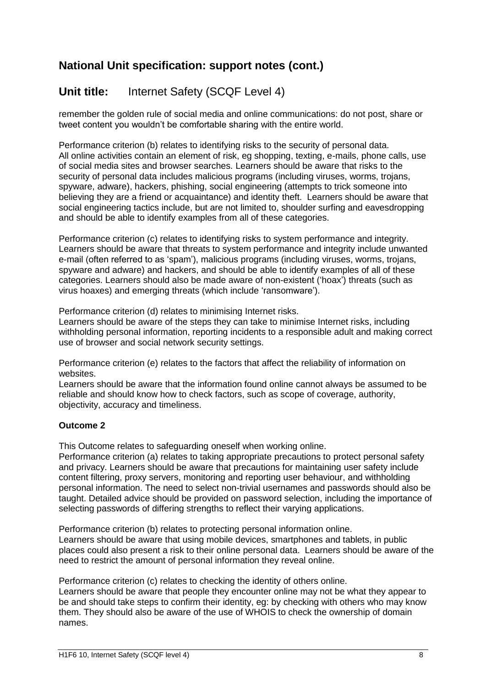# **Unit title:** Internet Safety (SCQF Level 4)

remember the golden rule of social media and online communications: do not post, share or tweet content you wouldn't be comfortable sharing with the entire world.

Performance criterion (b) relates to identifying risks to the security of personal data. All online activities contain an element of risk, eg shopping, texting, e-mails, phone calls, use of social media sites and browser searches. Learners should be aware that risks to the security of personal data includes malicious programs (including viruses, worms, trojans, spyware, adware), hackers, phishing, social engineering (attempts to trick someone into believing they are a friend or acquaintance) and identity theft. Learners should be aware that social engineering tactics include, but are not limited to, shoulder surfing and eavesdropping and should be able to identify examples from all of these categories.

Performance criterion (c) relates to identifying risks to system performance and integrity. Learners should be aware that threats to system performance and integrity include unwanted e-mail (often referred to as 'spam'), malicious programs (including viruses, worms, trojans, spyware and adware) and hackers, and should be able to identify examples of all of these categories. Learners should also be made aware of non-existent ('hoax') threats (such as virus hoaxes) and emerging threats (which include 'ransomware').

Performance criterion (d) relates to minimising Internet risks.

Learners should be aware of the steps they can take to minimise Internet risks, including withholding personal information, reporting incidents to a responsible adult and making correct use of browser and social network security settings.

Performance criterion (e) relates to the factors that affect the reliability of information on websites.

Learners should be aware that the information found online cannot always be assumed to be reliable and should know how to check factors, such as scope of coverage, authority, objectivity, accuracy and timeliness.

#### **Outcome 2**

This Outcome relates to safeguarding oneself when working online.

Performance criterion (a) relates to taking appropriate precautions to protect personal safety and privacy. Learners should be aware that precautions for maintaining user safety include content filtering, proxy servers, monitoring and reporting user behaviour, and withholding personal information. The need to select non-trivial usernames and passwords should also be taught. Detailed advice should be provided on password selection, including the importance of selecting passwords of differing strengths to reflect their varying applications.

Performance criterion (b) relates to protecting personal information online. Learners should be aware that using mobile devices, smartphones and tablets, in public places could also present a risk to their online personal data. Learners should be aware of the need to restrict the amount of personal information they reveal online.

Performance criterion (c) relates to checking the identity of others online.

Learners should be aware that people they encounter online may not be what they appear to be and should take steps to confirm their identity, eg: by checking with others who may know them. They should also be aware of the use of WHOIS to check the ownership of domain names.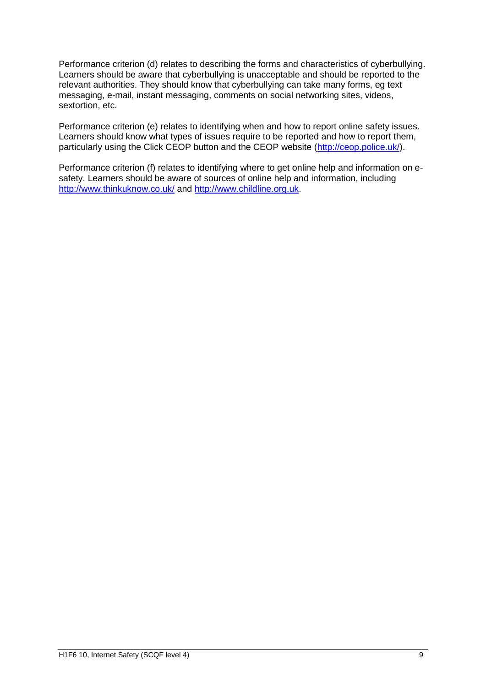Performance criterion (d) relates to describing the forms and characteristics of cyberbullying. Learners should be aware that cyberbullying is unacceptable and should be reported to the relevant authorities. They should know that cyberbullying can take many forms, eg text messaging, e-mail, instant messaging, comments on social networking sites, videos, sextortion, etc.

Performance criterion (e) relates to identifying when and how to report online safety issues. Learners should know what types of issues require to be reported and how to report them, particularly using the Click CEOP button and the CEOP website [\(http://ceop.police.uk/\)](http://ceop.police.uk/).

Performance criterion (f) relates to identifying where to get online help and information on esafety. Learners should be aware of sources of online help and information, including <http://www.thinkuknow.co.uk/> and [http://www.childline.org.uk.](http://www.childline.org.uk/)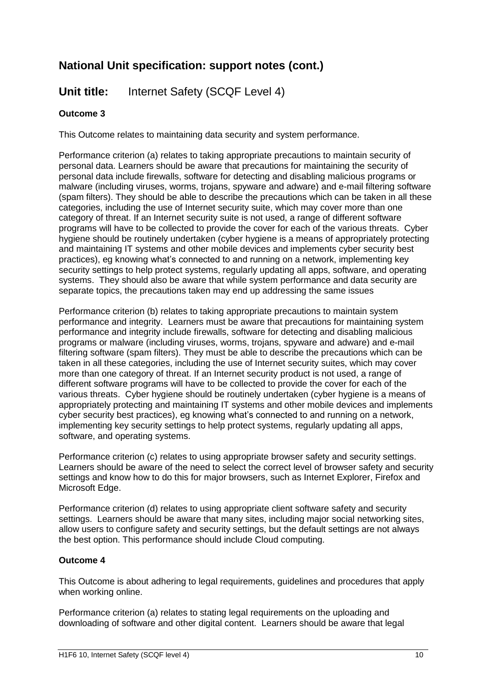## **Unit title:** Internet Safety (SCQF Level 4)

### **Outcome 3**

This Outcome relates to maintaining data security and system performance.

Performance criterion (a) relates to taking appropriate precautions to maintain security of personal data. Learners should be aware that precautions for maintaining the security of personal data include firewalls, software for detecting and disabling malicious programs or malware (including viruses, worms, trojans, spyware and adware) and e-mail filtering software (spam filters). They should be able to describe the precautions which can be taken in all these categories, including the use of Internet security suite, which may cover more than one category of threat. If an Internet security suite is not used, a range of different software programs will have to be collected to provide the cover for each of the various threats. Cyber hygiene should be routinely undertaken (cyber hygiene is a means of appropriately protecting and maintaining IT systems and other mobile devices and implements cyber security best practices), eg knowing what's connected to and running on a network, implementing key security settings to help protect systems, regularly updating all apps, software, and operating systems. They should also be aware that while system performance and data security are separate topics, the precautions taken may end up addressing the same issues

Performance criterion (b) relates to taking appropriate precautions to maintain system performance and integrity. Learners must be aware that precautions for maintaining system performance and integrity include firewalls, software for detecting and disabling malicious programs or malware (including viruses, worms, trojans, spyware and adware) and e-mail filtering software (spam filters). They must be able to describe the precautions which can be taken in all these categories, including the use of Internet security suites, which may cover more than one category of threat. If an Internet security product is not used, a range of different software programs will have to be collected to provide the cover for each of the various threats. Cyber hygiene should be routinely undertaken (cyber hygiene is a means of appropriately protecting and maintaining IT systems and other mobile devices and implements cyber security best practices), eg knowing what's connected to and running on a network, implementing key security settings to help protect systems, regularly updating all apps, software, and operating systems.

Performance criterion (c) relates to using appropriate browser safety and security settings. Learners should be aware of the need to select the correct level of browser safety and security settings and know how to do this for major browsers, such as Internet Explorer, Firefox and Microsoft Edge.

Performance criterion (d) relates to using appropriate client software safety and security settings. Learners should be aware that many sites, including major social networking sites, allow users to configure safety and security settings, but the default settings are not always the best option. This performance should include Cloud computing.

#### **Outcome 4**

This Outcome is about adhering to legal requirements, guidelines and procedures that apply when working online.

Performance criterion (a) relates to stating legal requirements on the uploading and downloading of software and other digital content. Learners should be aware that legal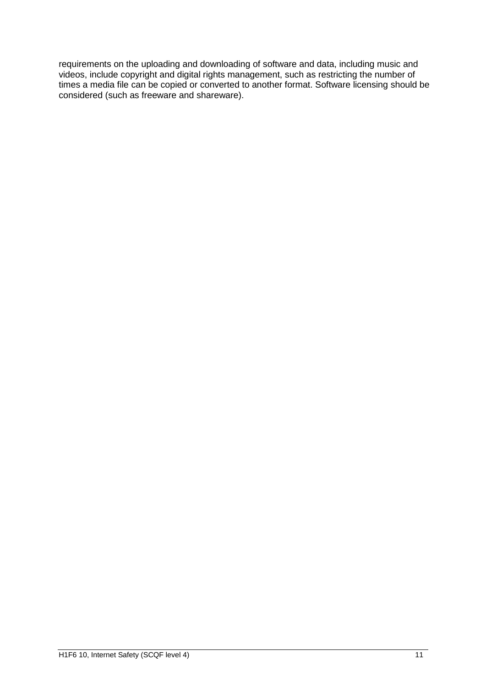requirements on the uploading and downloading of software and data, including music and videos, include copyright and digital rights management, such as restricting the number of times a media file can be copied or converted to another format. Software licensing should be considered (such as freeware and shareware).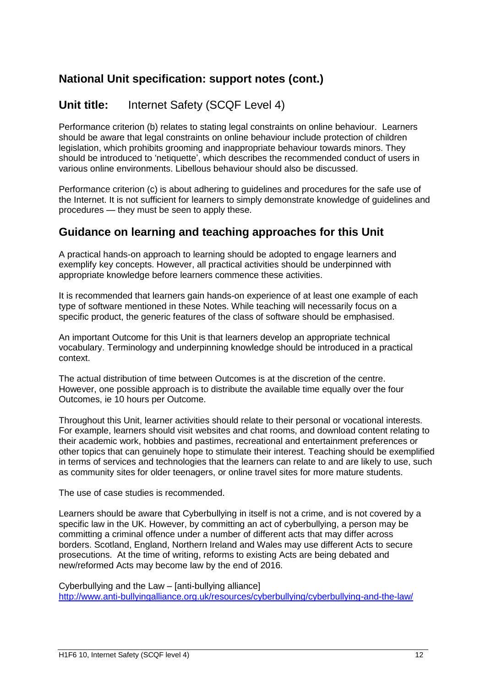## **Unit title:** Internet Safety (SCQF Level 4)

Performance criterion (b) relates to stating legal constraints on online behaviour. Learners should be aware that legal constraints on online behaviour include protection of children legislation, which prohibits grooming and inappropriate behaviour towards minors. They should be introduced to 'netiquette', which describes the recommended conduct of users in various online environments. Libellous behaviour should also be discussed.

Performance criterion (c) is about adhering to guidelines and procedures for the safe use of the Internet. It is not sufficient for learners to simply demonstrate knowledge of guidelines and procedures — they must be seen to apply these.

### **Guidance on learning and teaching approaches for this Unit**

A practical hands-on approach to learning should be adopted to engage learners and exemplify key concepts. However, all practical activities should be underpinned with appropriate knowledge before learners commence these activities.

It is recommended that learners gain hands-on experience of at least one example of each type of software mentioned in these Notes. While teaching will necessarily focus on a specific product, the generic features of the class of software should be emphasised.

An important Outcome for this Unit is that learners develop an appropriate technical vocabulary. Terminology and underpinning knowledge should be introduced in a practical context.

The actual distribution of time between Outcomes is at the discretion of the centre. However, one possible approach is to distribute the available time equally over the four Outcomes, ie 10 hours per Outcome.

Throughout this Unit, learner activities should relate to their personal or vocational interests. For example, learners should visit websites and chat rooms, and download content relating to their academic work, hobbies and pastimes, recreational and entertainment preferences or other topics that can genuinely hope to stimulate their interest. Teaching should be exemplified in terms of services and technologies that the learners can relate to and are likely to use, such as community sites for older teenagers, or online travel sites for more mature students.

The use of case studies is recommended.

Learners should be aware that Cyberbullying in itself is not a crime, and is not covered by a specific law in the UK. However, by committing an act of cyberbullying, a person may be committing a criminal offence under a number of different acts that may differ across borders. Scotland, England, Northern Ireland and Wales may use different Acts to secure prosecutions. At the time of writing, reforms to existing Acts are being debated and new/reformed Acts may become law by the end of 2016.

Cyberbullying and the Law – [anti-bullying alliance] <http://www.anti-bullyingalliance.org.uk/resources/cyberbullying/cyberbullying-and-the-law/>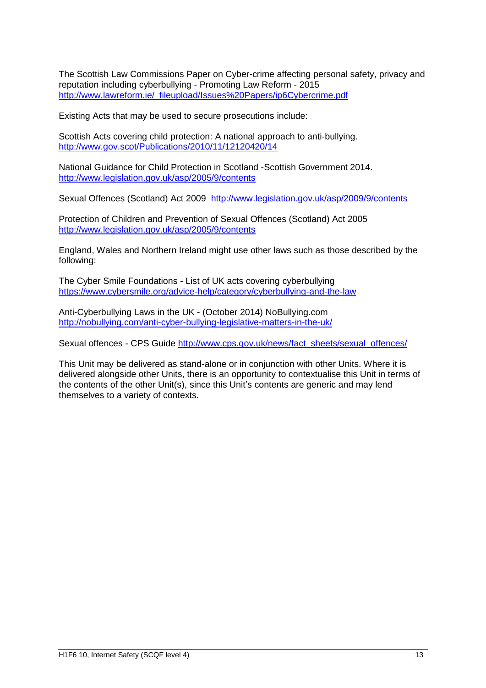The Scottish Law Commissions Paper on Cyber-crime affecting personal safety, privacy and reputation including cyberbullying - Promoting Law Reform - 2015 [http://www.lawreform.ie/\\_fileupload/Issues%20Papers/ip6Cybercrime.pdf](http://www.lawreform.ie/_fileupload/Issues%20Papers/ip6Cybercrime.pdf)

Existing Acts that may be used to secure prosecutions include:

Scottish Acts covering child protection: A national approach to anti-bullying. <http://www.gov.scot/Publications/2010/11/12120420/14>

National Guidance for Child Protection in Scotland -Scottish Government 2014. <http://www.legislation.gov.uk/asp/2005/9/contents>

Sexual Offences (Scotland) Act 2009 <http://www.legislation.gov.uk/asp/2009/9/contents>

Protection of Children and Prevention of Sexual Offences (Scotland) Act 2005 <http://www.legislation.gov.uk/asp/2005/9/contents>

England, Wales and Northern Ireland might use other laws such as those described by the following:

The Cyber Smile Foundations - List of UK acts covering cyberbullying <https://www.cybersmile.org/advice-help/category/cyberbullying-and-the-law>

Anti-Cyberbullying Laws in the UK - (October 2014) NoBullying.com <http://nobullying.com/anti-cyber-bullying-legislative-matters-in-the-uk/>

Sexual offences - CPS Guide [http://www.cps.gov.uk/news/fact\\_sheets/sexual\\_offences/](http://www.cps.gov.uk/news/fact_sheets/sexual_offences/)

This Unit may be delivered as stand-alone or in conjunction with other Units. Where it is delivered alongside other Units, there is an opportunity to contextualise this Unit in terms of the contents of the other Unit(s), since this Unit's contents are generic and may lend themselves to a variety of contexts.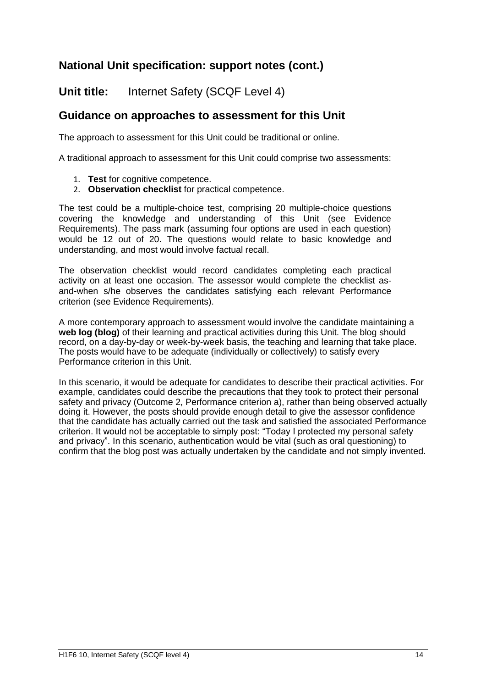**Unit title:** Internet Safety (SCQF Level 4)

### **Guidance on approaches to assessment for this Unit**

The approach to assessment for this Unit could be traditional or online.

A traditional approach to assessment for this Unit could comprise two assessments:

- 1. **Test** for cognitive competence.
- 2. **Observation checklist** for practical competence.

The test could be a multiple-choice test, comprising 20 multiple-choice questions covering the knowledge and understanding of this Unit (see Evidence Requirements). The pass mark (assuming four options are used in each question) would be 12 out of 20. The questions would relate to basic knowledge and understanding, and most would involve factual recall.

The observation checklist would record candidates completing each practical activity on at least one occasion. The assessor would complete the checklist asand-when s/he observes the candidates satisfying each relevant Performance criterion (see Evidence Requirements).

A more contemporary approach to assessment would involve the candidate maintaining a **web log (blog)** of their learning and practical activities during this Unit. The blog should record, on a day-by-day or week-by-week basis, the teaching and learning that take place. The posts would have to be adequate (individually or collectively) to satisfy every Performance criterion in this Unit.

In this scenario, it would be adequate for candidates to describe their practical activities. For example, candidates could describe the precautions that they took to protect their personal safety and privacy (Outcome 2, Performance criterion a), rather than being observed actually doing it. However, the posts should provide enough detail to give the assessor confidence that the candidate has actually carried out the task and satisfied the associated Performance criterion. It would not be acceptable to simply post: "Today I protected my personal safety and privacy". In this scenario, authentication would be vital (such as oral questioning) to confirm that the blog post was actually undertaken by the candidate and not simply invented.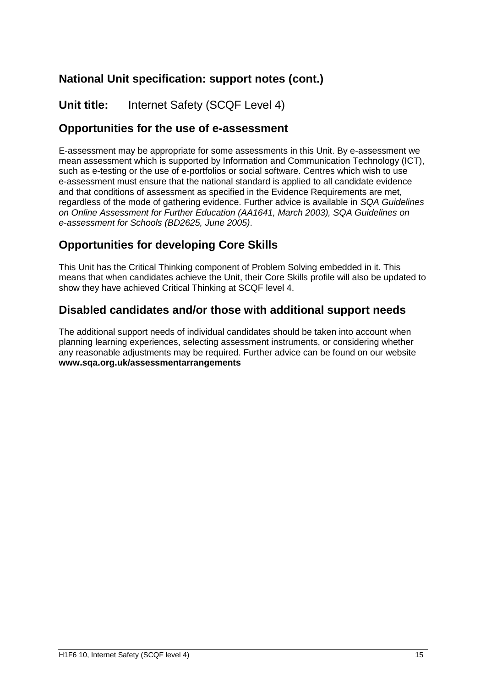**Unit title:** Internet Safety (SCQF Level 4)

### **Opportunities for the use of e-assessment**

E-assessment may be appropriate for some assessments in this Unit. By e-assessment we mean assessment which is supported by Information and Communication Technology (ICT), such as e-testing or the use of e-portfolios or social software. Centres which wish to use e-assessment must ensure that the national standard is applied to all candidate evidence and that conditions of assessment as specified in the Evidence Requirements are met, regardless of the mode of gathering evidence. Further advice is available in *SQA Guidelines on Online Assessment for Further Education (AA1641, March 2003), SQA Guidelines on e-assessment for Schools (BD2625, June 2005)*.

## **Opportunities for developing Core Skills**

This Unit has the Critical Thinking component of Problem Solving embedded in it. This means that when candidates achieve the Unit, their Core Skills profile will also be updated to show they have achieved Critical Thinking at SCQF level 4.

### **Disabled candidates and/or those with additional support needs**

The additional support needs of individual candidates should be taken into account when planning learning experiences, selecting assessment instruments, or considering whether any reasonable adjustments may be required. Further advice can be found on our website **www.sqa.org.uk/assessmentarrangements**